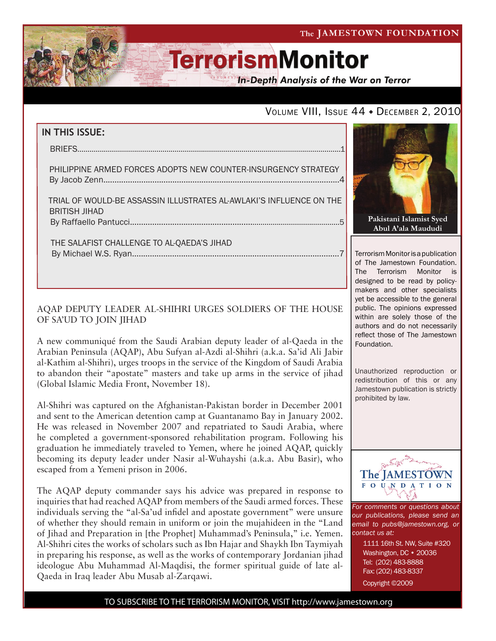The JAMESTOWN FOUNDATION

# **TerrorismMonitor**

**In-Depth Analysis of the War on Terror** 

### VOLUME VIII, ISSUE 44 • DECEMBER 2, 2010

# **IN THIS ISSUE:** briefs..................................................................................................................................1 philippine armed forces adopts new counter-insurgency strategy By Jacob Zenn..........................................................................................................4 trial of would-be assassin illustrates al-awlaki's influence on the british jihad by Raffaello Pantucci..................................................................................................5 the salafist challenge to al-qaeda's jihad By Michael W.S. Ryan.............................................................................................7

#### AQAP DEPUTY LEADER AL-SHIHRI URGES SOLDIERS OF THE HOUSE OF SA'UD TO JOIN JIHAD

A new communiqué from the Saudi Arabian deputy leader of al-Qaeda in the Arabian Peninsula (AQAP), Abu Sufyan al-Azdi al-Shihri (a.k.a. Sa'id Ali Jabir al-Kathim al-Shihri), urges troops in the service of the Kingdom of Saudi Arabia to abandon their "apostate" masters and take up arms in the service of jihad (Global Islamic Media Front, November 18).

Al-Shihri was captured on the Afghanistan-Pakistan border in December 2001 and sent to the American detention camp at Guantanamo Bay in January 2002. He was released in November 2007 and repatriated to Saudi Arabia, where he completed a government-sponsored rehabilitation program. Following his graduation he immediately traveled to Yemen, where he joined AQAP, quickly becoming its deputy leader under Nasir al-Wuhayshi (a.k.a. Abu Basir), who escaped from a Yemeni prison in 2006.

The AQAP deputy commander says his advice was prepared in response to inquiries that had reached AQAP from members of the Saudi armed forces. These individuals serving the "al-Sa'ud infidel and apostate government" were unsure of whether they should remain in uniform or join the mujahideen in the "Land of Jihad and Preparation in [the Prophet] Muhammad's Peninsula," i.e. Yemen. Al-Shihri cites the works of scholars such as Ibn Hajar and Shaykh Ibn Taymiyah in preparing his response, as well as the works of contemporary Jordanian jihad ideologue Abu Muhammad Al-Maqdisi, the former spiritual guide of late al-Qaeda in Iraq leader Abu Musab al-Zarqawi.



Terrorism Monitor is a publication of The Jamestown Foundation. The Terrorism Monitor is designed to be read by policymakers and other specialists yet be accessible to the general public. The opinions expressed within are solely those of the authors and do not necessarily reflect those of The Jamestown Foundation.

Unauthorized reproduction or redistribution of this or any Jamestown publication is strictly prohibited by law.



*For comments or questions about our publications, please send an email to pubs@jamestown.org, or contact us at:* 

> 1111 16th St. NW, Suite #320 Washington, DC • 20036 Tel: (202) 483-8888 Fax: (202) 483-8337

Copyright ©2009

TO SUBSCRIBE TO THE TERRORISM MONITOR, VISIT http://www.jamestown.org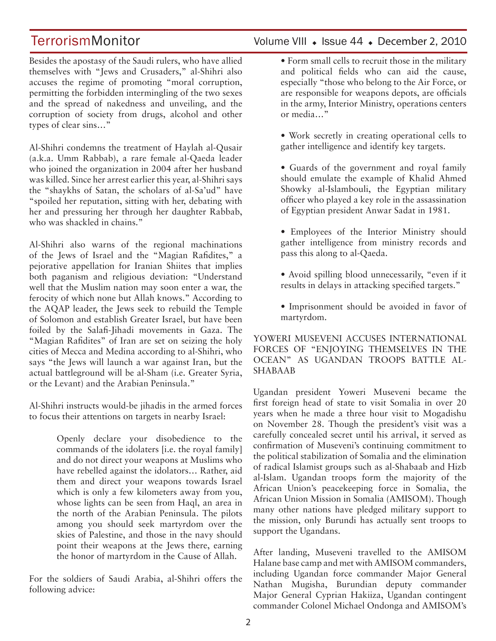Besides the apostasy of the Saudi rulers, who have allied themselves with "Jews and Crusaders," al-Shihri also accuses the regime of promoting "moral corruption, permitting the forbidden intermingling of the two sexes and the spread of nakedness and unveiling, and the corruption of society from drugs, alcohol and other types of clear sins…"

Al-Shihri condemns the treatment of Haylah al-Qusair (a.k.a. Umm Rabbab), a rare female al-Qaeda leader who joined the organization in 2004 after her husband was killed. Since her arrest earlier this year, al-Shihri says the "shaykhs of Satan, the scholars of al-Sa'ud" have "spoiled her reputation, sitting with her, debating with her and pressuring her through her daughter Rabbab, who was shackled in chains."

Al-Shihri also warns of the regional machinations of the Jews of Israel and the "Magian Rafidites," a pejorative appellation for Iranian Shiites that implies both paganism and religious deviation: "Understand well that the Muslim nation may soon enter a war, the ferocity of which none but Allah knows." According to the AQAP leader, the Jews seek to rebuild the Temple of Solomon and establish Greater Israel, but have been foiled by the Salafi-Jihadi movements in Gaza. The "Magian Rafidites" of Iran are set on seizing the holy cities of Mecca and Medina according to al-Shihri, who says "the Jews will launch a war against Iran, but the actual battleground will be al-Sham (i.e. Greater Syria, or the Levant) and the Arabian Peninsula."

Al-Shihri instructs would-be jihadis in the armed forces to focus their attentions on targets in nearby Israel:

> Openly declare your disobedience to the commands of the idolaters [i.e. the royal family] and do not direct your weapons at Muslims who have rebelled against the idolators… Rather, aid them and direct your weapons towards Israel which is only a few kilometers away from you, whose lights can be seen from Haql, an area in the north of the Arabian Peninsula. The pilots among you should seek martyrdom over the skies of Palestine, and those in the navy should point their weapons at the Jews there, earning the honor of martyrdom in the Cause of Allah.

For the soldiers of Saudi Arabia, al-Shihri offers the following advice:

### TerrorismMonitor Volume VIII • Issue 44 • December 2, 2010

- Form small cells to recruit those in the military and political fields who can aid the cause, especially "those who belong to the Air Force, or are responsible for weapons depots, are officials in the army, Interior Ministry, operations centers or media…"
- Work secretly in creating operational cells to gather intelligence and identify key targets.
- Guards of the government and royal family should emulate the example of Khalid Ahmed Showky al-Islambouli, the Egyptian military officer who played a key role in the assassination of Egyptian president Anwar Sadat in 1981.
- Employees of the Interior Ministry should gather intelligence from ministry records and pass this along to al-Qaeda.
- Avoid spilling blood unnecessarily, "even if it results in delays in attacking specified targets."
- Imprisonment should be avoided in favor of martyrdom.

YOWERI MUSEVENI ACCUSES INTERNATIONAL FORCES OF "ENJOYING THEMSELVES IN THE OCEAN" AS UGANDAN TROOPS BATTLE AL-SHABAAB

Ugandan president Yoweri Museveni became the first foreign head of state to visit Somalia in over 20 years when he made a three hour visit to Mogadishu on November 28. Though the president's visit was a carefully concealed secret until his arrival, it served as confirmation of Museveni's continuing commitment to the political stabilization of Somalia and the elimination of radical Islamist groups such as al-Shabaab and Hizb al-Islam. Ugandan troops form the majority of the African Union's peacekeeping force in Somalia, the African Union Mission in Somalia (AMISOM). Though many other nations have pledged military support to the mission, only Burundi has actually sent troops to support the Ugandans.

After landing, Museveni travelled to the AMISOM Halane base camp and met with AMISOM commanders, including Ugandan force commander Major General Nathan Mugisha, Burundian deputy commander Major General Cyprian Hakiiza, Ugandan contingent commander Colonel Michael Ondonga and AMISOM's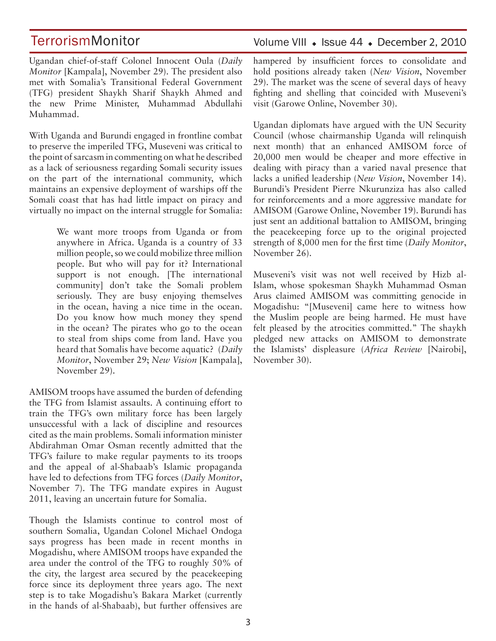Ugandan chief-of-staff Colonel Innocent Oula (*Daily Monitor* [Kampala], November 29). The president also met with Somalia's Transitional Federal Government (TFG) president Shaykh Sharif Shaykh Ahmed and the new Prime Minister, Muhammad Abdullahi Muhammad.

With Uganda and Burundi engaged in frontline combat to preserve the imperiled TFG, Museveni was critical to the point of sarcasm in commenting on what he described as a lack of seriousness regarding Somali security issues on the part of the international community, which maintains an expensive deployment of warships off the Somali coast that has had little impact on piracy and virtually no impact on the internal struggle for Somalia:

> We want more troops from Uganda or from anywhere in Africa. Uganda is a country of 33 million people, so we could mobilize three million people. But who will pay for it? International support is not enough. [The international community] don't take the Somali problem seriously. They are busy enjoying themselves in the ocean, having a nice time in the ocean. Do you know how much money they spend in the ocean? The pirates who go to the ocean to steal from ships come from land. Have you heard that Somalis have become aquatic? (*Daily Monitor*, November 29; *New Vision* [Kampala], November 29).

AMISOM troops have assumed the burden of defending the TFG from Islamist assaults. A continuing effort to train the TFG's own military force has been largely unsuccessful with a lack of discipline and resources cited as the main problems. Somali information minister Abdirahman Omar Osman recently admitted that the TFG's failure to make regular payments to its troops and the appeal of al-Shabaab's Islamic propaganda have led to defections from TFG forces (*Daily Monitor*, November 7). The TFG mandate expires in August 2011, leaving an uncertain future for Somalia.

Though the Islamists continue to control most of southern Somalia, Ugandan Colonel Michael Ondoga says progress has been made in recent months in Mogadishu, where AMISOM troops have expanded the area under the control of the TFG to roughly 50% of the city, the largest area secured by the peacekeeping force since its deployment three years ago. The next step is to take Mogadishu's Bakara Market (currently in the hands of al-Shabaab), but further offensives are

### Volume VIII · Issue 44 · December 2, 2010

hampered by insufficient forces to consolidate and hold positions already taken (*New Vision*, November 29). The market was the scene of several days of heavy fighting and shelling that coincided with Museveni's visit (Garowe Online, November 30).

Ugandan diplomats have argued with the UN Security Council (whose chairmanship Uganda will relinquish next month) that an enhanced AMISOM force of 20,000 men would be cheaper and more effective in dealing with piracy than a varied naval presence that lacks a unified leadership (*New Vision*, November 14). Burundi's President Pierre Nkurunziza has also called for reinforcements and a more aggressive mandate for AMISOM (Garowe Online, November 19). Burundi has just sent an additional battalion to AMISOM, bringing the peacekeeping force up to the original projected strength of 8,000 men for the first time (*Daily Monitor*, November 26).

Museveni's visit was not well received by Hizb al-Islam, whose spokesman Shaykh Muhammad Osman Arus claimed AMISOM was committing genocide in Mogadishu: "[Museveni] came here to witness how the Muslim people are being harmed. He must have felt pleased by the atrocities committed." The shaykh pledged new attacks on AMISOM to demonstrate the Islamists' displeasure (*Africa Review* [Nairobi], November 30).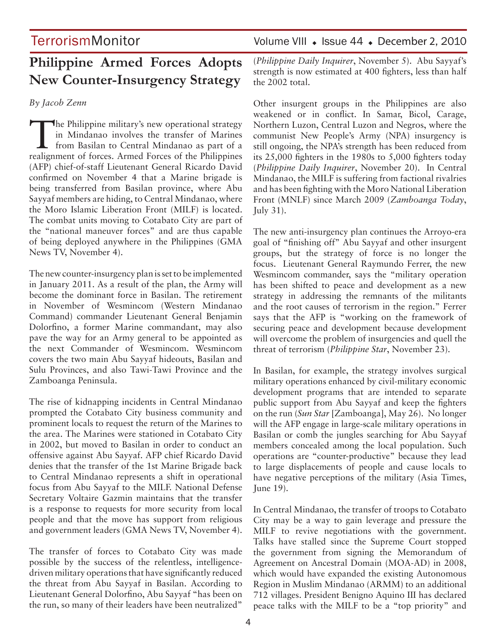# **Philippine Armed Forces Adopts New Counter-Insurgency Strategy**

*By Jacob Zenn*

The Philippine military's new operational strategy<br>
in Mindanao involves the transfer of Marines<br>
from Basilan to Central Mindanao as part of a<br>
realization of forces Armed Forces of the Philippines in Mindanao involves the transfer of Marines realignment of forces. Armed Forces of the Philippines (AFP) chief-of-staff Lieutenant General Ricardo David confirmed on November 4 that a Marine brigade is being transferred from Basilan province, where Abu Sayyaf members are hiding, to Central Mindanao, where the Moro Islamic Liberation Front (MILF) is located. The combat units moving to Cotabato City are part of the "national maneuver forces" and are thus capable of being deployed anywhere in the Philippines (GMA News TV, November 4).

The new counter-insurgency plan is set to be implemented in January 2011. As a result of the plan, the Army will become the dominant force in Basilan. The retirement in November of Wesmincom (Western Mindanao Command) commander Lieutenant General Benjamin Dolorfino, a former Marine commandant, may also pave the way for an Army general to be appointed as the next Commander of Wesmincom. Wesmincom covers the two main Abu Sayyaf hideouts, Basilan and Sulu Provinces, and also Tawi-Tawi Province and the Zamboanga Peninsula.

The rise of kidnapping incidents in Central Mindanao prompted the Cotabato City business community and prominent locals to request the return of the Marines to the area. The Marines were stationed in Cotabato City in 2002, but moved to Basilan in order to conduct an offensive against Abu Sayyaf. AFP chief Ricardo David denies that the transfer of the 1st Marine Brigade back to Central Mindanao represents a shift in operational focus from Abu Sayyaf to the MILF. National Defense Secretary Voltaire Gazmin maintains that the transfer is a response to requests for more security from local people and that the move has support from religious and government leaders (GMA News TV, November 4).

The transfer of forces to Cotabato City was made possible by the success of the relentless, intelligencedriven military operations that have significantly reduced the threat from Abu Sayyaf in Basilan. According to Lieutenant General Dolorfino, Abu Sayyaf "has been on the run, so many of their leaders have been neutralized"

TerrorismMonitor Volume VIII • Issue 44 • December 2, 2010

(*Philippine Daily Inquirer*, November 5). Abu Sayyaf's strength is now estimated at 400 fighters, less than half the 2002 total.

Other insurgent groups in the Philippines are also weakened or in conflict. In Samar, Bicol, Carage, Northern Luzon, Central Luzon and Negros, where the communist New People's Army (NPA) insurgency is still ongoing, the NPA's strength has been reduced from its 25,000 fighters in the 1980s to 5,000 fighters today (*Philippine Daily Inquirer*, November 20). In Central Mindanao, the MILF is suffering from factional rivalries and has been fighting with the Moro National Liberation Front (MNLF) since March 2009 (*Zamboanga Today*, July 31).

The new anti-insurgency plan continues the Arroyo-era goal of "finishing off" Abu Sayyaf and other insurgent groups, but the strategy of force is no longer the focus. Lieutenant General Raymundo Ferrer, the new Wesmincom commander, says the "military operation has been shifted to peace and development as a new strategy in addressing the remnants of the militants and the root causes of terrorism in the region." Ferrer says that the AFP is "working on the framework of securing peace and development because development will overcome the problem of insurgencies and quell the threat of terrorism (*Philippine Star*, November 23).

In Basilan, for example, the strategy involves surgical military operations enhanced by civil-military economic development programs that are intended to separate public support from Abu Sayyaf and keep the fighters on the run (*Sun Star* [Zamboanga], May 26). No longer will the AFP engage in large-scale military operations in Basilan or comb the jungles searching for Abu Sayyaf members concealed among the local population. Such operations are "counter-productive" because they lead to large displacements of people and cause locals to have negative perceptions of the military (Asia Times, June 19).

In Central Mindanao, the transfer of troops to Cotabato City may be a way to gain leverage and pressure the MILF to revive negotiations with the government. Talks have stalled since the Supreme Court stopped the government from signing the Memorandum of Agreement on Ancestral Domain (MOA-AD) in 2008, which would have expanded the existing Autonomous Region in Muslim Mindanao (ARMM) to an additional 712 villages. President Benigno Aquino III has declared peace talks with the MILF to be a "top priority" and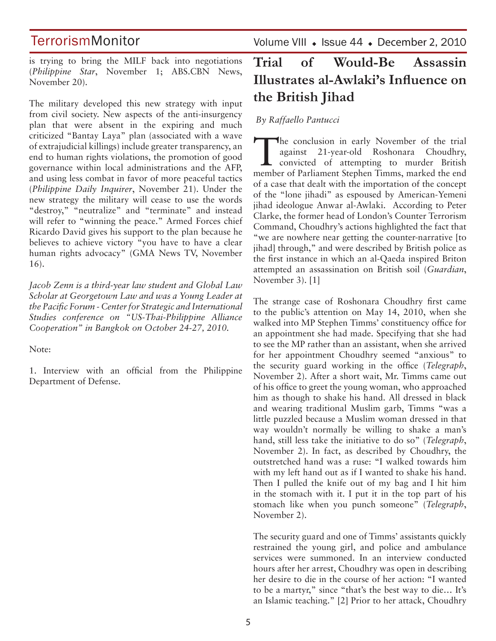is trying to bring the MILF back into negotiations (*Philippine Star*, November 1; ABS.CBN News, November 20).

The military developed this new strategy with input from civil society. New aspects of the anti-insurgency plan that were absent in the expiring and much criticized "Bantay Laya" plan (associated with a wave of extrajudicial killings) include greater transparency, an end to human rights violations, the promotion of good governance within local administrations and the AFP, and using less combat in favor of more peaceful tactics (*Philippine Daily Inquirer*, November 21). Under the new strategy the military will cease to use the words "destroy," "neutralize" and "terminate" and instead will refer to "winning the peace." Armed Forces chief Ricardo David gives his support to the plan because he believes to achieve victory "you have to have a clear human rights advocacy" (GMA News TV, November 16).

*Jacob Zenn is a third-year law student and Global Law Scholar at Georgetown Law and was a Young Leader at the Pacific Forum - Center for Strategic and International Studies conference on "US-Thai-Philippine Alliance Cooperation" in Bangkok on October 24-27, 2010.*

Note:

1. Interview with an official from the Philippine Department of Defense.

Volume VIII · Issue 44 · December 2, 2010

# **Trial of Would-Be Assassin Illustrates al-Awlaki's Influence on the British Jihad**

 *By Raffaello Pantucci*

The conclusion in early November of the trial<br>
against 21-year-old Roshonara Choudhry,<br>
convicted of attempting to murder British<br>
member of Berliament Stanben Timms, marked the and against 21-year-old Roshonara Choudhry, member of Parliament Stephen Timms, marked the end of a case that dealt with the importation of the concept of the "lone jihadi" as espoused by American-Yemeni jihad ideologue Anwar al-Awlaki. According to Peter Clarke, the former head of London's Counter Terrorism Command, Choudhry's actions highlighted the fact that "we are nowhere near getting the counter-narrative [to jihad] through," and were described by British police as the first instance in which an al-Qaeda inspired Briton attempted an assassination on British soil (*Guardian*, November 3). [1]

The strange case of Roshonara Choudhry first came to the public's attention on May 14, 2010, when she walked into MP Stephen Timms' constituency office for an appointment she had made. Specifying that she had to see the MP rather than an assistant, when she arrived for her appointment Choudhry seemed "anxious" to the security guard working in the office (*Telegraph*, November 2). After a short wait, Mr. Timms came out of his office to greet the young woman, who approached him as though to shake his hand. All dressed in black and wearing traditional Muslim garb, Timms "was a little puzzled because a Muslim woman dressed in that way wouldn't normally be willing to shake a man's hand, still less take the initiative to do so" (*Telegraph*, November 2). In fact, as described by Choudhry, the outstretched hand was a ruse: "I walked towards him with my left hand out as if I wanted to shake his hand. Then I pulled the knife out of my bag and I hit him in the stomach with it. I put it in the top part of his stomach like when you punch someone" (*Telegraph*, November 2).

The security guard and one of Timms' assistants quickly restrained the young girl, and police and ambulance services were summoned. In an interview conducted hours after her arrest, Choudhry was open in describing her desire to die in the course of her action: "I wanted to be a martyr," since "that's the best way to die… It's an Islamic teaching." [2] Prior to her attack, Choudhry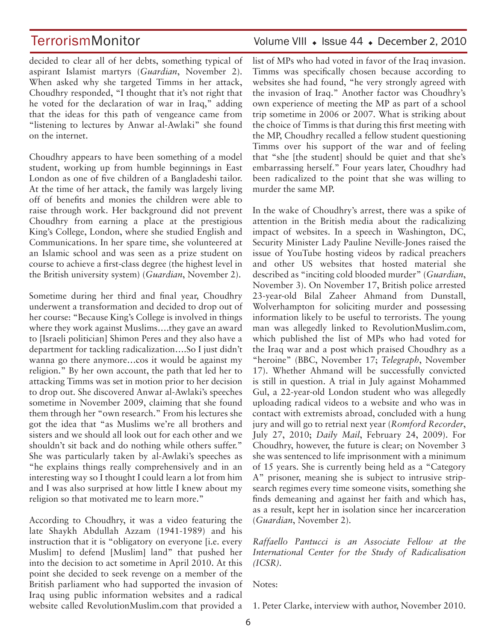decided to clear all of her debts, something typical of aspirant Islamist martyrs (*Guardian*, November 2). When asked why she targeted Timms in her attack, Choudhry responded, "I thought that it's not right that he voted for the declaration of war in Iraq," adding that the ideas for this path of vengeance came from "listening to lectures by Anwar al-Awlaki" she found on the internet.

Choudhry appears to have been something of a model student, working up from humble beginnings in East London as one of five children of a Bangladeshi tailor. At the time of her attack, the family was largely living off of benefits and monies the children were able to raise through work. Her background did not prevent Choudhry from earning a place at the prestigious King's College, London, where she studied English and Communications. In her spare time, she volunteered at an Islamic school and was seen as a prize student on course to achieve a first-class degree (the highest level in the British university system) (*Guardian*, November 2).

Sometime during her third and final year, Choudhry underwent a transformation and decided to drop out of her course: "Because King's College is involved in things where they work against Muslims….they gave an award to [Israeli politician] Shimon Peres and they also have a department for tackling radicalization….So I just didn't wanna go there anymore…cos it would be against my religion." By her own account, the path that led her to attacking Timms was set in motion prior to her decision to drop out. She discovered Anwar al-Awlaki's speeches sometime in November 2009, claiming that she found them through her "own research." From his lectures she got the idea that "as Muslims we're all brothers and sisters and we should all look out for each other and we shouldn't sit back and do nothing while others suffer." She was particularly taken by al-Awlaki's speeches as "he explains things really comprehensively and in an interesting way so I thought I could learn a lot from him and I was also surprised at how little I knew about my religion so that motivated me to learn more."

According to Choudhry, it was a video featuring the late Shaykh Abdullah Azzam (1941-1989) and his instruction that it is "obligatory on everyone [i.e. every Muslim] to defend [Muslim] land" that pushed her into the decision to act sometime in April 2010. At this point she decided to seek revenge on a member of the British parliament who had supported the invasion of Iraq using public information websites and a radical website called RevolutionMuslim.com that provided a

# TerrorismMonitor Volume VIII • Issue 44 • December 2, 2010

list of MPs who had voted in favor of the Iraq invasion. Timms was specifically chosen because according to websites she had found, "he very strongly agreed with the invasion of Iraq." Another factor was Choudhry's own experience of meeting the MP as part of a school trip sometime in 2006 or 2007. What is striking about the choice of Timms is that during this first meeting with the MP, Choudhry recalled a fellow student questioning Timms over his support of the war and of feeling that "she [the student] should be quiet and that she's embarrassing herself." Four years later, Choudhry had been radicalized to the point that she was willing to murder the same MP.

In the wake of Choudhry's arrest, there was a spike of attention in the British media about the radicalizing impact of websites. In a speech in Washington, DC, Security Minister Lady Pauline Neville-Jones raised the issue of YouTube hosting videos by radical preachers and other US websites that hosted material she described as "inciting cold blooded murder" (*Guardian*, November 3). On November 17, British police arrested 23-year-old Bilal Zaheer Ahmand from Dunstall, Wolverhampton for soliciting murder and possessing information likely to be useful to terrorists. The young man was allegedly linked to RevolutionMuslim.com, which published the list of MPs who had voted for the Iraq war and a post which praised Choudhry as a "heroine" (BBC, November 17; *Telegraph*, November 17). Whether Ahmand will be successfully convicted is still in question. A trial in July against Mohammed Gul, a 22-year-old London student who was allegedly uploading radical videos to a website and who was in contact with extremists abroad, concluded with a hung jury and will go to retrial next year (*Romford Recorder*, July 27, 2010; *Daily Mail*, February 24, 2009). For Choudhry, however, the future is clear; on November 3 she was sentenced to life imprisonment with a minimum of 15 years. She is currently being held as a "Category A" prisoner, meaning she is subject to intrusive stripsearch regimes every time someone visits, something she finds demeaning and against her faith and which has, as a result, kept her in isolation since her incarceration (*Guardian*, November 2).

*Raffaello Pantucci is an Associate Fellow at the International Center for the Study of Radicalisation (ICSR).*

Notes:

1. Peter Clarke, interview with author, November 2010.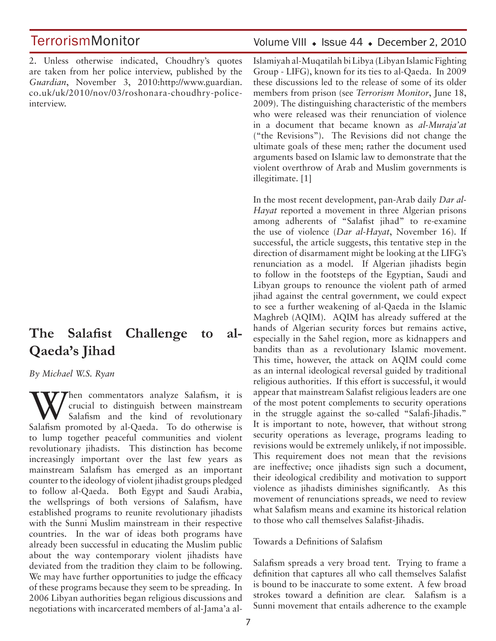2. Unless otherwise indicated, Choudhry's quotes are taken from her police interview, published by the *Guardian*, November 3, 2010:http://www.guardian. co.uk/uk/2010/nov/03/roshonara-choudhry-policeinterview.

# **The Salafist Challenge to al-Qaeda's Jihad**

#### *By Michael W.S. Ryan*

Wen commentators analyze Salafism, it is<br>
Salafism and the kind of revolutionary<br>
Salafism are all Oseds. To do athenuise is crucial to distinguish between mainstream Salafism and the kind of revolutionary Salafism promoted by al-Qaeda. To do otherwise is to lump together peaceful communities and violent revolutionary jihadists. This distinction has become increasingly important over the last few years as mainstream Salafism has emerged as an important counter to the ideology of violent jihadist groups pledged to follow al-Qaeda. Both Egypt and Saudi Arabia, the wellsprings of both versions of Salafism, have established programs to reunite revolutionary jihadists with the Sunni Muslim mainstream in their respective countries. In the war of ideas both programs have already been successful in educating the Muslim public about the way contemporary violent jihadists have deviated from the tradition they claim to be following. We may have further opportunities to judge the efficacy of these programs because they seem to be spreading. In 2006 Libyan authorities began religious discussions and negotiations with incarcerated members of al-Jama'a al-

#### Volume VIII • Issue 44 • December 2, 2010

Islamiyah al-Muqatilah bi Libya (Libyan Islamic Fighting Group - LIFG), known for its ties to al-Qaeda. In 2009 these discussions led to the release of some of its older members from prison (see *Terrorism Monitor*, June 18, 2009). The distinguishing characteristic of the members who were released was their renunciation of violence in a document that became known as *al-Muraja'at*  ("the Revisions"). The Revisions did not change the ultimate goals of these men; rather the document used arguments based on Islamic law to demonstrate that the violent overthrow of Arab and Muslim governments is illegitimate. [1]

In the most recent development, pan-Arab daily *Dar al-Hayat* reported a movement in three Algerian prisons among adherents of "Salafist jihad" to re-examine the use of violence (*Dar al-Hayat*, November 16). If successful, the article suggests, this tentative step in the direction of disarmament might be looking at the LIFG's renunciation as a model. If Algerian jihadists begin to follow in the footsteps of the Egyptian, Saudi and Libyan groups to renounce the violent path of armed jihad against the central government, we could expect to see a further weakening of al-Qaeda in the Islamic Maghreb (AQIM). AQIM has already suffered at the hands of Algerian security forces but remains active, especially in the Sahel region, more as kidnappers and bandits than as a revolutionary Islamic movement. This time, however, the attack on AQIM could come as an internal ideological reversal guided by traditional religious authorities. If this effort is successful, it would appear that mainstream Salafist religious leaders are one of the most potent complements to security operations in the struggle against the so-called "Salafi-Jihadis." It is important to note, however, that without strong security operations as leverage, programs leading to revisions would be extremely unlikely, if not impossible. This requirement does not mean that the revisions are ineffective; once jihadists sign such a document, their ideological credibility and motivation to support violence as jihadists diminishes significantly. As this movement of renunciations spreads, we need to review what Salafism means and examine its historical relation to those who call themselves Salafist-Jihadis.

Towards a Definitions of Salafism

Salafism spreads a very broad tent. Trying to frame a definition that captures all who call themselves Salafist is bound to be inaccurate to some extent. A few broad strokes toward a definition are clear. Salafism is a Sunni movement that entails adherence to the example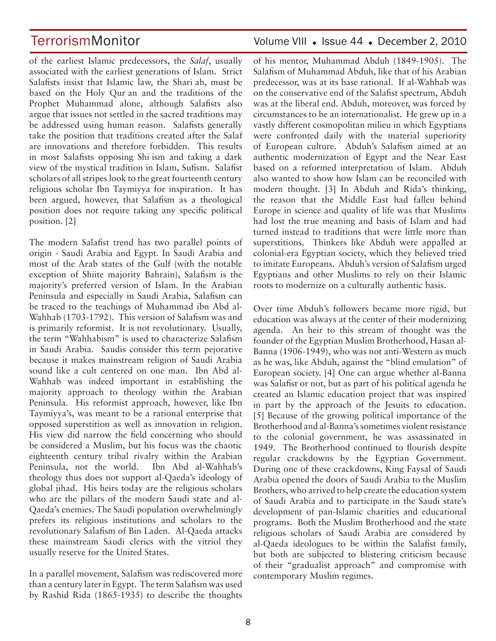of the earliest Islamic predecessors, the *Salaf*, usually associated with the earliest generations of Islam. Strict Salafists insist that Islamic law, the Shari ah, must be based on the Holy Qur an and the traditions of the Prophet Muhammad alone, although Salafists also argue that issues not settled in the sacred traditions may be addressed using human reason. Salafists generally take the position that traditions created after the Salaf are innovations and therefore forbidden. This results in most Salafists opposing Shi ism and taking a dark view of the mystical tradition in Islam, Sufism. Salafist scholars of all stripes look to the great fourteenth century religious scholar Ibn Taymiyya for inspiration. It has been argued, however, that Salafism as a theological position does not require taking any specific political position. [2]

The modern Salafist trend has two parallel points of origin - Saudi Arabia and Egypt. In Saudi Arabia and most of the Arab states of the Gulf (with the notable exception of Shiite majority Bahrain), Salafism is the majority's preferred version of Islam. In the Arabian Peninsula and especially in Saudi Arabia, Salafism can be traced to the teachings of Muhammad ibn Abd al-Wahhab (1703-1792). This version of Salafism was and is primarily reformist. It is not revolutionary. Usually, the term "Wahhabism" is used to characterize Salafism in Saudi Arabia. Saudis consider this term pejorative because it makes mainstream religion of Saudi Arabia sound like a cult centered on one man. Ibn Abd al-Wahhab was indeed important in establishing the majority approach to theology within the Arabian Peninsula. His reformist approach, however, like Ibn Taymiyya's, was meant to be a rational enterprise that opposed superstition as well as innovation in religion. His view did narrow the field concerning who should be considered a Muslim, but his focus was the chaotic eighteenth century tribal rivalry within the Arabian Peninsula, not the world. Ibn Abd al-Wahhab's theology thus does not support al-Qaeda's ideology of global jihad. His heirs today are the religious scholars who are the pillars of the modern Saudi state and al-Qaeda's enemies. The Saudi population overwhelmingly prefers its religious institutions and scholars to the revolutionary Salafism of Bin Laden. Al-Qaeda attacks these mainstream Saudi clerics with the vitriol they usually reserve for the United States.

In a parallel movement, Salafism was rediscovered more than a century later in Egypt. The term Salafism was used by Rashid Rida (1865-1935) to describe the thoughts

### TerrorismMonitor Volume VIII • Issue 44 • December 2, 2010

of his mentor, Muhammad Abduh (1849-1905). The Salafism of Muhammad Abduh, like that of his Arabian predecessor, was at its base rational. If al-Wahhab was on the conservative end of the Salafist spectrum, Abduh was at the liberal end. Abduh, moreover, was forced by circumstances to be an internationalist. He grew up in a vastly different cosmopolitan milieu in which Egyptians were confronted daily with the material superiority of European culture. Abduh's Salafism aimed at an authentic modernization of Egypt and the Near East based on a reformed interpretation of Islam. Abduh also wanted to show how Islam can be reconciled with modern thought. [3] In Abduh and Rida's thinking, the reason that the Middle East had fallen behind Europe in science and quality of life was that Muslims had lost the true meaning and basis of Islam and had turned instead to traditions that were little more than superstitions. Thinkers like Abduh were appalled at colonial-era Egyptian society, which they believed tried to imitate Europeans. Abduh's version of Salafism urged Egyptians and other Muslims to rely on their Islamic roots to modernize on a culturally authentic basis.

Over time Abduh's followers became more rigid, but education was always at the center of their modernizing agenda. An heir to this stream of thought was the founder of the Egyptian Muslim Brotherhood, Hasan al-Banna (1906-1949), who was not anti-Western as much as he was, like Abduh, against the "blind emulation" of European society. [4] One can argue whether al-Banna was Salafist or not, but as part of his political agenda he created an Islamic education project that was inspired in part by the approach of the Jesuits to education. [5] Because of the growing political importance of the Brotherhood and al-Banna's sometimes violent resistance to the colonial government, he was assassinated in 1949. The Brotherhood continued to flourish despite regular crackdowns by the Egyptian Government. During one of these crackdowns, King Faysal of Saudi Arabia opened the doors of Saudi Arabia to the Muslim Brothers, who arrived to help create the education system of Saudi Arabia and to participate in the Saudi state's development of pan-Islamic charities and educational programs. Both the Muslim Brotherhood and the state religious scholars of Saudi Arabia are considered by al-Qaeda ideologues to be within the Salafist family, but both are subjected to blistering criticism because of their "gradualist approach" and compromise with contemporary Muslim regimes.